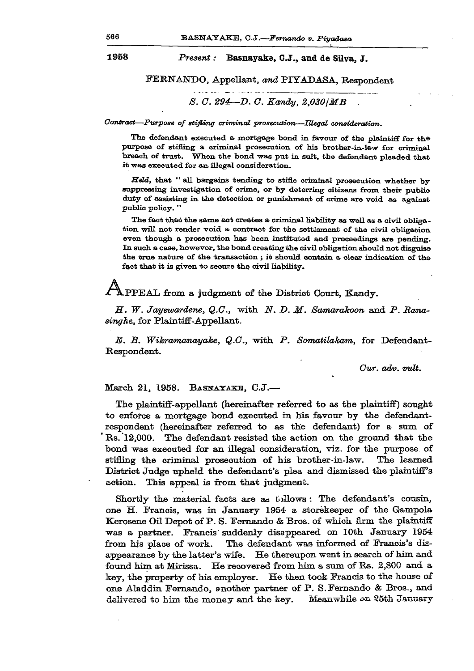## **1958** *Present:* **Basnayake, C** *J.,* **and de Silva, J .**

**FERNANDO, Appellant,** *and* **PIYADASA, Respondent** 

## *S. C. 294-D. C. Kandy, 2,030 | MB*

*Contract—Purpose of stifling criminal prosecution—Illegal consideration.* 

The defendant executed a mortgage bond in favour of the plaintiff for the purpose of stifling a criminal prosecution of his brother-in-law for criminal breach of trust. When the bond was put in suit, the defendant pleaded that it was executed for an illegal consideration.

*Held,* that " all bargains tending to stifle criminal prosecution whether by suppressing investigation of crime, or by deterring citizens from their public duty of assisting in the detection or punishment of crime are void as against public policy. "

The fact that the same act creates a criminal liability as well as a civil obligation will not render void a contract for the settlement of the civil obligation even though a prosecution has been instituted and proceedings are pending. In such a case, however, the bond creating the civil obligation should not disguise the true nature of the transaction; it should contain a clear indication of the fact that it is given to secure the civil liability.

PPEAL from a judgment of the District Court, Kandy.

*M. W. Jayewardene, Q.G.,* **"with** *N. D. M. Samarakoon* **and** *P. Ranasinghe,* **for Plaintiff-Appellant.** 

*E. B. Wikramanayake, Q.G.,* **'with** *P. Somatilakam,* **for Defendant-Respondent.** 

*Gur. adv. vuli.* 

## **March 21, 1958. BASNAYAKE, C.J.—**

**The plaintiff-appellant (hereinafter referred to as the plaintiff) sought to enforce a mortgage bond executed in his favour by the defendantrespondent (hereinafter referred to as the defendant) for a sum of ' Rs. 12,000. The defendant resisted the action on the ground that the bond was executed for an illegal consideration, viz. for the purpose of stifling the criminal prosecution of his brother-in-law. The learned District Judge upheld the defendant's plea and dismissed the plaintiff's action. This appeal is from that judgment.** 

**Shortly the material facts are as tollows: The defendant's cousin, one H. Francis, was in January 1954- a storekeeper of the Gampola Kerosene Oil Depot of P. S. Fernando & Bros, of which firm the plaintiff was a partner. Francis' suddenly disappeared on 10th January 1954 from his place of work. The defendant was informed of Francis's disappearance by the latter's wife. He thereupon went in search of him and found him at Mirissa. He recovered from** him **a sum of Rs. 2,800 and a key, the property of his employer. He then took Francis to the house of one Aladdin Fernando, another partner of P. S.Fernando & Bros., and delivered to him the money and the key. Meanwhile** an **35th January**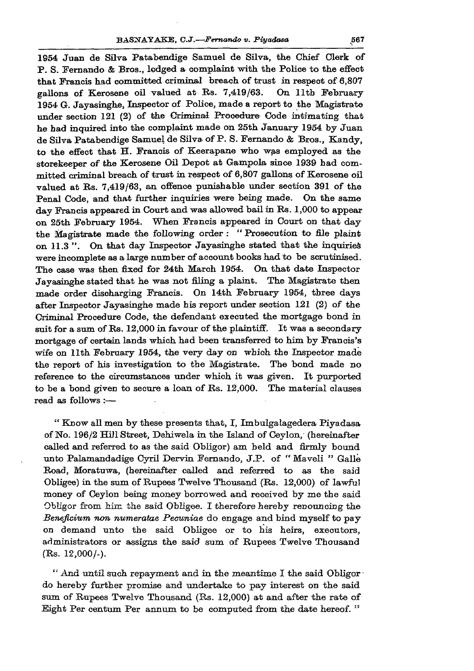**1954 Juan de Silva Patabendige Samuel de Silva, the Chief Clerk of P. S. Fernando & Bros., lodged a complaint with the Police to the effect that Francis had committed criminal breach of trust in respect of 6,807 gallons of Kerosene oil valued at Rs. 7,419/63. On lltb February 1954 G. Jayasinghe, Inspector of Police, made a report to the Magistrate under section 121 (2) of the Criminal Procedure Code intimating that he had inquired into the complaint made on 25th January 1954 by Juan de Silva Patabendige Samuel de Silva of P. S. Fernando & Bros., Kandy, to the effect that H. Francis of Keerapane who was employed as the storekeeper of the Kerosene Oil Depot at Gampola since 1939 had committed criminal breach of trust in respect of 6,807 gallons of Kerosene oil valued at Rs. 7,419/63, an offence punishable under section 391 of the Penal Code, and that further inquiries were being made. On the same day Francis appeared in Court and was allowed bail in Rs. 1,000 to appear on 25th February 1954. When Francis appeared in Court on that day the Magistrate made the following order : " Prosecution to file plaint on 11.3 ". On that day Inspector Jayasinghe stated that the inquiries were incomplete as a large number of account books had to be scrutinised. The case was then fixed for 24th March 1954. On that date Inspector Jayasinghe stated that he was not filing a plaint. The Magistrate then made order discharging Francis. On 14th February 1954, three days after Inspector Jayasinghe made his report under section 121 (2) of the Criminal Procedure Code, the defendant executed the mortgage bond in suit for a sum of Rs. 12,000 in favour of the plaintiff. It was a secondary mortgage of certain lands which had been transferred to him by Francis's wife on 11th February 1954, the very day on which the Inspector made the report of his investigation to the Magistrate. The bond made no reference to the circumstances under which it was given. It purported to be a bond given to secure a loan of Rs. 12,000. The material clauses read as follows :—** 

**" Know all men by these presents that, I, Imbulgalagedera Piyadasa of No. 196/2 Hill Street, Dehiwela in the Island of Ceylon, (hereinafter called and referred to as the said Obligor) am held and firmly bound unto Palamandadige Cyril Dervin Fernando, J.P. of " Maveli " Galle Road, Moratuwa, (hereinafter called and referred to as the said Obligee) in the sum of Rupees Twelve Thousand (Rs. 12,000) of lawful money of Ceylon being money borrowed and received by me the said Obligor from him the said Obligee. I therefore hereby renouncing the**  *Beneficium non numeratae Pecuniae* **do engage and bind myself to pay on demand unto the said Obligee or to his heirs, executors, administrators or assigns the said sum of Rupees Twelve Thousand (Rs. 12,000/-).** 

**" And until such repayment and in the meantime I the said Obligor • do hereby further promise and undertake to pay interest on the said sum of Rupees Twelve Thousand (Rs. 12,000) at and after the rate of Eight Per centum Per annum to be computed from the date hereof. "**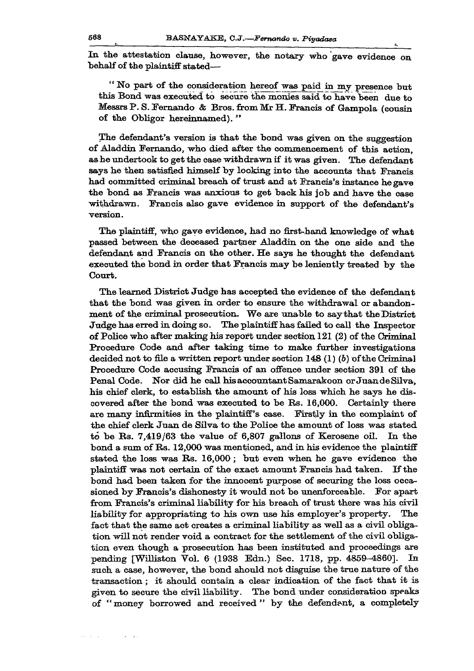**In the attestation clause, however, the notary who gave evidence on behalf of the plaintiff stated—** 

**" No part of the consideration hereof was paid in my presence but this Bond was executed to secure the monies said to have been due to Messrs P. S. Fernando & Bros, from Mr H. Francis of Gampola (cousin of the Obligor hereinnamed). "** 

**The defendant's version is that the bond was given on the suggestion of Aladdin Fernando, who died after the commencement of this action, as he undertook to get the case withdrawn if it was given. The defendant says he then satisfied himself by looking into the accounts that Francis had committed criminal breach of trust and at Francis's instance he gave the bond as Francis was anxious to get back his job and have the case withdrawn. Francis also gave evidence in support of the defendant's version.** 

**The plaintiff, who gave evidence, had no first-hand knowledge of what passed between the deceased partner Aladdin on the one side and the defendant and Francis on the other. He says he thought the defendant executed the bond in order that Francis may be leniently treated by the Court.** 

**The learned District Judge has accepted the evidence of the defendant that the bond was given in order to ensure the withdrawal or abandonment of the criminal prosecution. We are unable to say that the District Judge has erred in doing so. The plaintiff has failed to call the Inspector**  of Police who after making his report under section 121 (2) of the Criminal **Procedure Code and after taking time to make further investigations decided not to file a written report under section 148 (1) (b) of the Criminal Procedure Code accusing Francis of an offence under section 391 of the Penal Code. Nor did he call his accountant Samarakoon or JuandeSilva, his chief clerk, to establish the amount of his loss which he says he discovered after the bond was executed to be Fis. 16,000. Certainly there are many infirmities in the plaintiff's case. Firstly in the complaint of the chief clerk Juan de Silva to the Police the amount of loss was stated to be Bs. 7,419/63 the value of 6,807 gallons of Kerosene oil. In the bond a sum of Bs. 12,000 was mentioned, and in his evidence the plaintiff stated the loss was Bs. 16,000; but even when he gave evidence the plaintiff was not certain of the exact amount Francis had taken. If the bond had been taken for the innocent purpose of securing the loss occasioned by Francis's dishonesty it would not be unenforceable. For apart from Francis's criminal liability for his breach of trust there was his civil liability for appropriating to his own use his employer's property. The fact that the same act creates a criminal liability as well as a civil obligation will not render void a contract for the settlement of the civil obligation even though a prosecution has been instituted and proceedings are pending [Williston Vol. 6 (1938 Edn.) Sec. 1718, pp. 4859-4860]. In such a case, however, the bond should not disguise the true nature of the transaction; it should contain a clear indication of the fact that it is given to secure the civil liability. The bond under consideration speaks of " money borrowed and received " by the defendant, a completely**